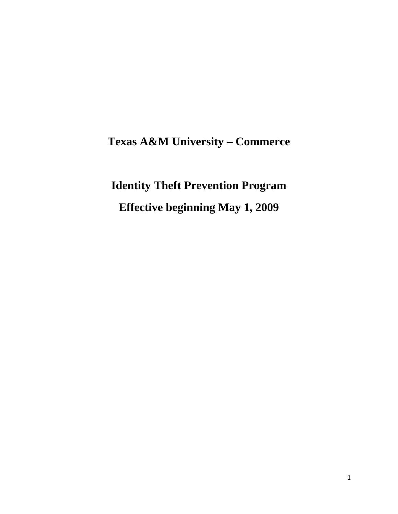# **Texas A&M University – Commerce**

# **Identity Theft Prevention Program**

**Effective beginning May 1, 2009**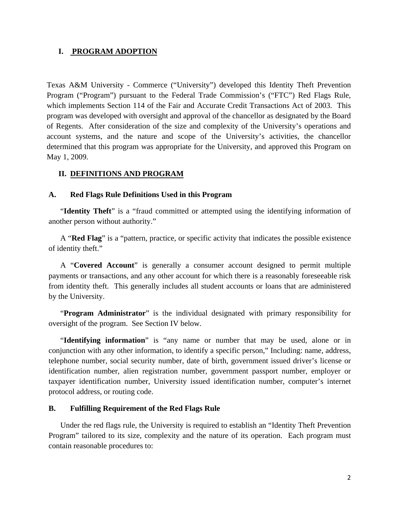#### **I. PROGRAM ADOPTION**

Texas A&M University - Commerce ("University") developed this Identity Theft Prevention Program ("Program") pursuant to the Federal Trade Commission's ("FTC") Red Flags Rule, which implements Section 114 of the Fair and Accurate Credit Transactions Act of 2003. This program was developed with oversight and approval of the chancellor as designated by the Board of Regents. After consideration of the size and complexity of the University's operations and account systems, and the nature and scope of the University's activities, the chancellor determined that this program was appropriate for the University, and approved this Program on May 1, 2009.

#### **II. DEFINITIONS AND PROGRAM**

#### **A. Red Flags Rule Definitions Used in this Program**

"**Identity Theft**" is a "fraud committed or attempted using the identifying information of another person without authority."

A "**Red Flag**" is a "pattern, practice, or specific activity that indicates the possible existence of identity theft."

A "**Covered Account**" is generally a consumer account designed to permit multiple payments or transactions, and any other account for which there is a reasonably foreseeable risk from identity theft. This generally includes all student accounts or loans that are administered by the University.

"**Program Administrator**" is the individual designated with primary responsibility for oversight of the program. See Section IV below.

"**Identifying information**" is "any name or number that may be used, alone or in conjunction with any other information, to identify a specific person," Including: name, address, telephone number, social security number, date of birth, government issued driver's license or identification number, alien registration number, government passport number, employer or taxpayer identification number, University issued identification number, computer's internet protocol address, or routing code.

#### **B. Fulfilling Requirement of the Red Flags Rule**

Under the red flags rule, the University is required to establish an "Identity Theft Prevention Program" tailored to its size, complexity and the nature of its operation. Each program must contain reasonable procedures to: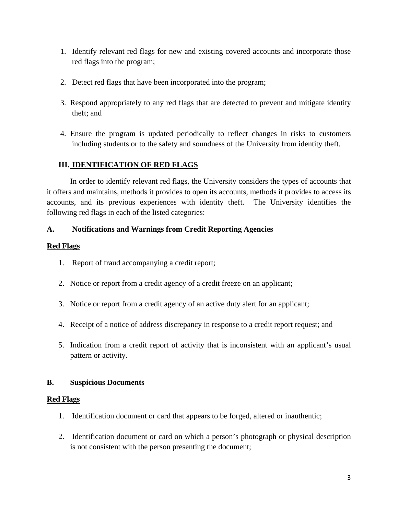- 1. Identify relevant red flags for new and existing covered accounts and incorporate those red flags into the program;
- 2. Detect red flags that have been incorporated into the program;
- 3. Respond appropriately to any red flags that are detected to prevent and mitigate identity theft; and
- 4. Ensure the program is updated periodically to reflect changes in risks to customers including students or to the safety and soundness of the University from identity theft.

## **III. IDENTIFICATION OF RED FLAGS**

In order to identify relevant red flags, the University considers the types of accounts that it offers and maintains, methods it provides to open its accounts, methods it provides to access its accounts, and its previous experiences with identity theft. The University identifies the following red flags in each of the listed categories:

### **A. Notifications and Warnings from Credit Reporting Agencies**

## **Red Flags**

- 1. Report of fraud accompanying a credit report;
- 2. Notice or report from a credit agency of a credit freeze on an applicant;
- 3. Notice or report from a credit agency of an active duty alert for an applicant;
- 4. Receipt of a notice of address discrepancy in response to a credit report request; and
- 5. Indication from a credit report of activity that is inconsistent with an applicant's usual pattern or activity.

### **B. Suspicious Documents**

### **Red Flags**

- 1. Identification document or card that appears to be forged, altered or inauthentic;
- 2. Identification document or card on which a person's photograph or physical description is not consistent with the person presenting the document;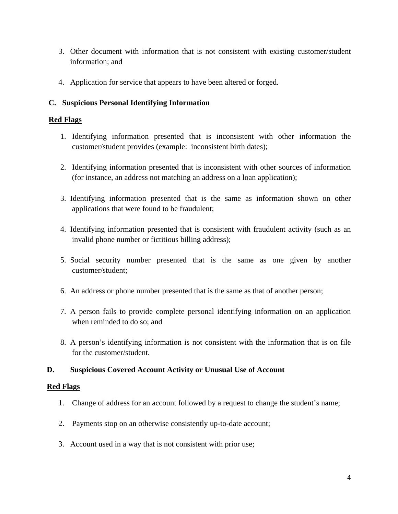- 3. Other document with information that is not consistent with existing customer/student information; and
- 4. Application for service that appears to have been altered or forged.

## **C. Suspicious Personal Identifying Information**

## **Red Flags**

- 1. Identifying information presented that is inconsistent with other information the customer/student provides (example: inconsistent birth dates);
- 2. Identifying information presented that is inconsistent with other sources of information (for instance, an address not matching an address on a loan application);
- 3. Identifying information presented that is the same as information shown on other applications that were found to be fraudulent;
- 4. Identifying information presented that is consistent with fraudulent activity (such as an invalid phone number or fictitious billing address);
- 5. Social security number presented that is the same as one given by another customer/student;
- 6. An address or phone number presented that is the same as that of another person;
- 7. A person fails to provide complete personal identifying information on an application when reminded to do so; and
- 8. A person's identifying information is not consistent with the information that is on file for the customer/student.

### **D. Suspicious Covered Account Activity or Unusual Use of Account**

### **Red Flags**

- 1. Change of address for an account followed by a request to change the student's name;
- 2. Payments stop on an otherwise consistently up-to-date account;
- 3. Account used in a way that is not consistent with prior use;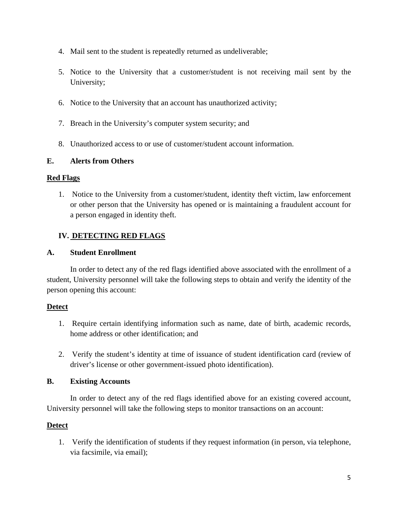- 4. Mail sent to the student is repeatedly returned as undeliverable;
- 5. Notice to the University that a customer/student is not receiving mail sent by the University;
- 6. Notice to the University that an account has unauthorized activity;
- 7. Breach in the University's computer system security; and
- 8. Unauthorized access to or use of customer/student account information.

## **E. Alerts from Others**

### **Red Flags**

1. Notice to the University from a customer/student, identity theft victim, law enforcement or other person that the University has opened or is maintaining a fraudulent account for a person engaged in identity theft.

## **IV. DETECTING RED FLAGS**

### **A. Student Enrollment**

 In order to detect any of the red flags identified above associated with the enrollment of a student, University personnel will take the following steps to obtain and verify the identity of the person opening this account:

### **Detect**

- 1. Require certain identifying information such as name, date of birth, academic records, home address or other identification; and
- 2. Verify the student's identity at time of issuance of student identification card (review of driver's license or other government-issued photo identification).

### **B. Existing Accounts**

In order to detect any of the red flags identified above for an existing covered account, University personnel will take the following steps to monitor transactions on an account:

### **Detect**

1. Verify the identification of students if they request information (in person, via telephone, via facsimile, via email);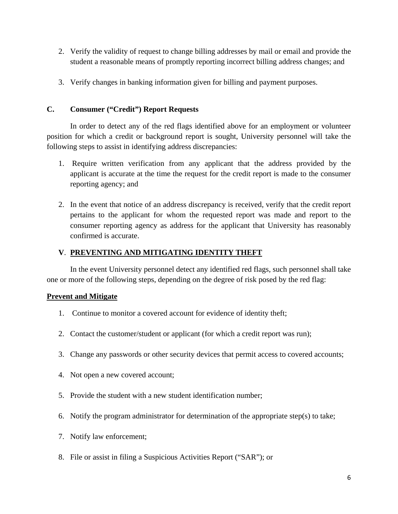- 2. Verify the validity of request to change billing addresses by mail or email and provide the student a reasonable means of promptly reporting incorrect billing address changes; and
- 3. Verify changes in banking information given for billing and payment purposes.

#### **C. Consumer ("Credit") Report Requests**

In order to detect any of the red flags identified above for an employment or volunteer position for which a credit or background report is sought, University personnel will take the following steps to assist in identifying address discrepancies:

- 1. Require written verification from any applicant that the address provided by the applicant is accurate at the time the request for the credit report is made to the consumer reporting agency; and
- 2. In the event that notice of an address discrepancy is received, verify that the credit report pertains to the applicant for whom the requested report was made and report to the consumer reporting agency as address for the applicant that University has reasonably confirmed is accurate.

### **V**. **PREVENTING AND MITIGATING IDENTITY THEFT**

 In the event University personnel detect any identified red flags, such personnel shall take one or more of the following steps, depending on the degree of risk posed by the red flag:

### **Prevent and Mitigate**

- 1. Continue to monitor a covered account for evidence of identity theft;
- 2. Contact the customer/student or applicant (for which a credit report was run);
- 3. Change any passwords or other security devices that permit access to covered accounts;
- 4. Not open a new covered account;
- 5. Provide the student with a new student identification number;
- 6. Notify the program administrator for determination of the appropriate step(s) to take;
- 7. Notify law enforcement;
- 8. File or assist in filing a Suspicious Activities Report ("SAR"); or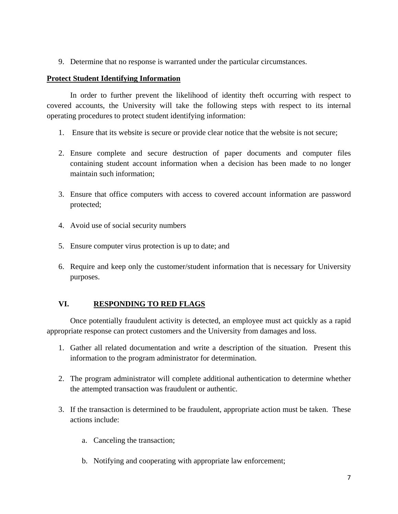9. Determine that no response is warranted under the particular circumstances.

#### **Protect Student Identifying Information**

 In order to further prevent the likelihood of identity theft occurring with respect to covered accounts, the University will take the following steps with respect to its internal operating procedures to protect student identifying information:

- 1. Ensure that its website is secure or provide clear notice that the website is not secure;
- 2. Ensure complete and secure destruction of paper documents and computer files containing student account information when a decision has been made to no longer maintain such information;
- 3. Ensure that office computers with access to covered account information are password protected;
- 4. Avoid use of social security numbers
- 5. Ensure computer virus protection is up to date; and
- 6. Require and keep only the customer/student information that is necessary for University purposes.

### **VI. RESPONDING TO RED FLAGS**

 Once potentially fraudulent activity is detected, an employee must act quickly as a rapid appropriate response can protect customers and the University from damages and loss.

- 1. Gather all related documentation and write a description of the situation. Present this information to the program administrator for determination.
- 2. The program administrator will complete additional authentication to determine whether the attempted transaction was fraudulent or authentic.
- 3. If the transaction is determined to be fraudulent, appropriate action must be taken. These actions include:
	- a. Canceling the transaction;
	- b. Notifying and cooperating with appropriate law enforcement;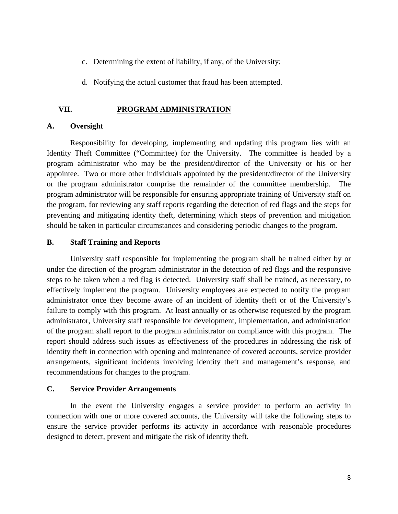- c. Determining the extent of liability, if any, of the University;
- d. Notifying the actual customer that fraud has been attempted.

#### **VII. PROGRAM ADMINISTRATION**

#### **A. Oversight**

Responsibility for developing, implementing and updating this program lies with an Identity Theft Committee ("Committee) for the University. The committee is headed by a program administrator who may be the president/director of the University or his or her appointee. Two or more other individuals appointed by the president/director of the University or the program administrator comprise the remainder of the committee membership. The program administrator will be responsible for ensuring appropriate training of University staff on the program, for reviewing any staff reports regarding the detection of red flags and the steps for preventing and mitigating identity theft, determining which steps of prevention and mitigation should be taken in particular circumstances and considering periodic changes to the program.

#### **B. Staff Training and Reports**

 University staff responsible for implementing the program shall be trained either by or under the direction of the program administrator in the detection of red flags and the responsive steps to be taken when a red flag is detected. University staff shall be trained, as necessary, to effectively implement the program. University employees are expected to notify the program administrator once they become aware of an incident of identity theft or of the University's failure to comply with this program. At least annually or as otherwise requested by the program administrator, University staff responsible for development, implementation, and administration of the program shall report to the program administrator on compliance with this program. The report should address such issues as effectiveness of the procedures in addressing the risk of identity theft in connection with opening and maintenance of covered accounts, service provider arrangements, significant incidents involving identity theft and management's response, and recommendations for changes to the program.

#### **C. Service Provider Arrangements**

 In the event the University engages a service provider to perform an activity in connection with one or more covered accounts, the University will take the following steps to ensure the service provider performs its activity in accordance with reasonable procedures designed to detect, prevent and mitigate the risk of identity theft.